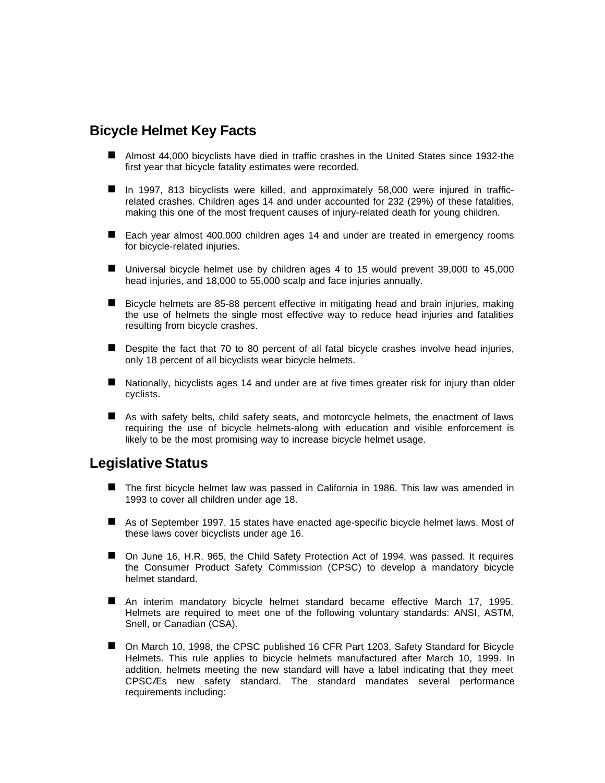# **Bicycle Helmet Key Facts**

- Almost 44,000 bicyclists have died in traffic crashes in the United States since 1932-the first year that bicycle fatality estimates were recorded.
- In 1997, 813 bicyclists were killed, and approximately 58,000 were injured in trafficrelated crashes. Children ages 14 and under accounted for 232 (29%) of these fatalities, making this one of the most frequent causes of injury-related death for young children.
- Each year almost 400,000 children ages 14 and under are treated in emergency rooms for bicycle-related injuries.
- $\blacksquare$  Universal bicycle helmet use by children ages 4 to 15 would prevent 39,000 to 45,000 head injuries, and 18,000 to 55,000 scalp and face injuries annually.
- Bicycle helmets are 85-88 percent effective in mitigating head and brain injuries, making the use of helmets the single most effective way to reduce head injuries and fatalities resulting from bicycle crashes.
- Despite the fact that 70 to 80 percent of all fatal bicycle crashes involve head injuries, only 18 percent of all bicyclists wear bicycle helmets.
- $\blacksquare$  Nationally, bicyclists ages 14 and under are at five times greater risk for injury than older cyclists.
- $\blacksquare$  As with safety belts, child safety seats, and motorcycle helmets, the enactment of laws requiring the use of bicycle helmets-along with education and visible enforcement is likely to be the most promising way to increase bicycle helmet usage.

#### **Legislative Status**

- The first bicycle helmet law was passed in California in 1986. This law was amended in 1993 to cover all children under age 18.
- As of September 1997, 15 states have enacted age-specific bicycle helmet laws. Most of these laws cover bicyclists under age 16.
- On June 16, H.R. 965, the Child Safety Protection Act of 1994, was passed. It requires the Consumer Product Safety Commission (CPSC) to develop a mandatory bicycle helmet standard.
- An interim mandatory bicycle helmet standard became effective March 17, 1995. Helmets are required to meet one of the following voluntary standards: ANSI, ASTM, Snell, or Canadian (CSA).
- On March 10, 1998, the CPSC published 16 CFR Part 1203, Safety Standard for Bicycle Helmets. This rule applies to bicycle helmets manufactured after March 10, 1999. In addition, helmets meeting the new standard will have a label indicating that they meet CPSCÆs new safety standard. The standard mandates several performance requirements including: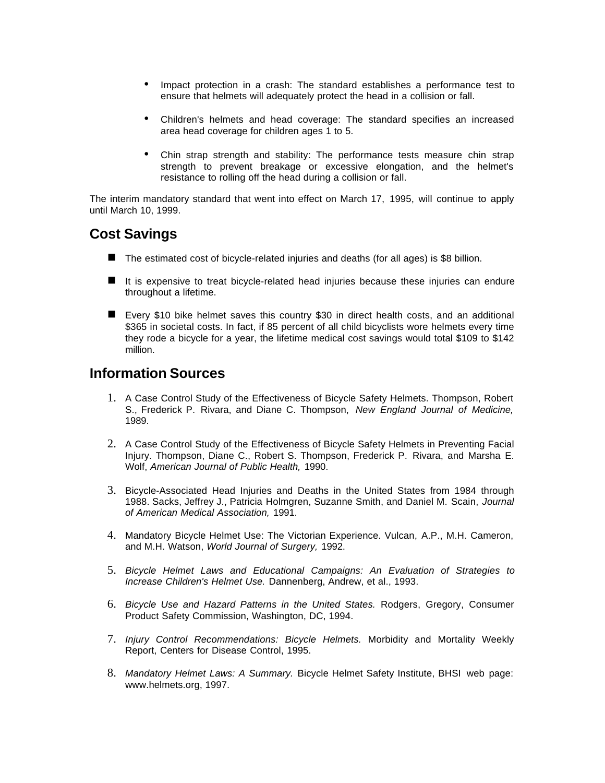- Impact protection in a crash: The standard establishes a performance test to ensure that helmets will adequately protect the head in a collision or fall.
- Children's helmets and head coverage: The standard specifies an increased area head coverage for children ages 1 to 5.
- Chin strap strength and stability: The performance tests measure chin strap strength to prevent breakage or excessive elongation, and the helmet's resistance to rolling off the head during a collision or fall.

The interim mandatory standard that went into effect on March 17, 1995, will continue to apply until March 10, 1999.

# **Cost Savings**

- $\blacksquare$  The estimated cost of bicycle-related injuries and deaths (for all ages) is \$8 billion.
- $\blacksquare$  It is expensive to treat bicycle-related head injuries because these injuries can endure throughout a lifetime.
- Every \$10 bike helmet saves this country \$30 in direct health costs, and an additional \$365 in societal costs. In fact, if 85 percent of all child bicyclists wore helmets every time they rode a bicycle for a year, the lifetime medical cost savings would total \$109 to \$142 million.

### **Information Sources**

- 1. A Case Control Study of the Effectiveness of Bicycle Safety Helmets. Thompson, Robert S., Frederick P. Rivara, and Diane C. Thompson, *New England Journal of Medicine,* 1989.
- 2. A Case Control Study of the Effectiveness of Bicycle Safety Helmets in Preventing Facial Injury. Thompson, Diane C., Robert S. Thompson, Frederick P. Rivara, and Marsha E. Wolf, *American Journal of Public Health,* 1990.
- 3. Bicycle-Associated Head Injuries and Deaths in the United States from 1984 through 1988. Sacks, Jeffrey J., Patricia Holmgren, Suzanne Smith, and Daniel M. Scain, *Journal of American Medical Association,* 1991.
- 4. Mandatory Bicycle Helmet Use: The Victorian Experience. Vulcan, A.P., M.H. Cameron, and M.H. Watson, *World Journal of Surgery,* 1992.
- 5. *Bicycle Helmet Laws and Educational Campaigns: An Evaluation of Strategies to Increase Children's Helmet Use.* Dannenberg, Andrew, et al., 1993.
- 6. *Bicycle Use and Hazard Patterns in the United States.* Rodgers, Gregory, Consumer Product Safety Commission, Washington, DC, 1994.
- 7. *Injury Control Recommendations: Bicycle Helmets.* Morbidity and Mortality Weekly Report, Centers for Disease Control, 1995.
- 8. *Mandatory Helmet Laws: A Summary.* Bicycle Helmet Safety Institute, BHSI web page: www.helmets.org, 1997.